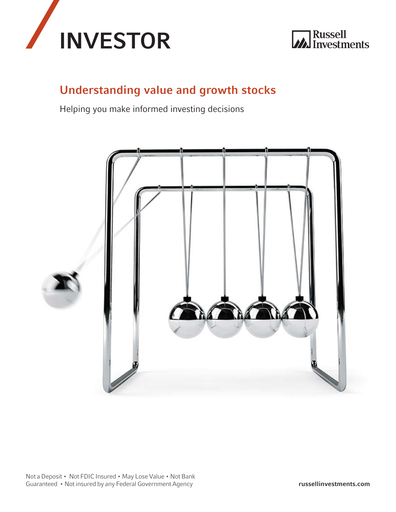



# Understanding value and growth stocks

Helping you make informed investing decisions

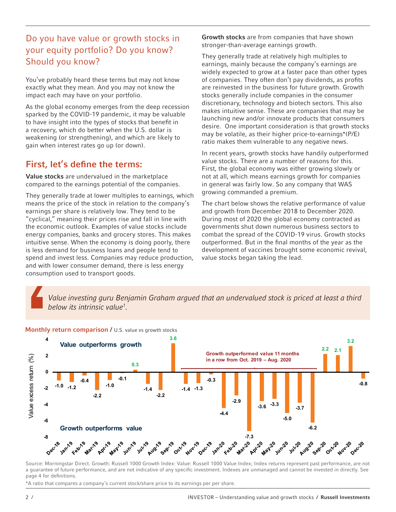## Do you have value or growth stocks in your equity portfolio? Do you know? Should you know?

You've probably heard these terms but may not know exactly what they mean. And you may not know the impact each may have on your portfolio.

As the global economy emerges from the deep recession sparked by the COVID-19 pandemic, it may be valuable to have insight into the types of stocks that benefit in a recovery, which do better when the U.S. dollar is weakening (or strengthening), and which are likely to gain when interest rates go up (or down).

### First, let's define the terms:

Value stocks are undervalued in the marketplace compared to the earnings potential of the companies.

They generally trade at lower multiples to earnings, which means the price of the stock in relation to the company's earnings per share is relatively low. They tend to be "cyclical," meaning their prices rise and fall in line with the economic outlook. Examples of value stocks include energy companies, banks and grocery stores. This makes intuitive sense. When the economy is doing poorly, there is less demand for business loans and people tend to spend and invest less. Companies may reduce production, and with lower consumer demand, there is less energy consumption used to transport goods.

Growth stocks are from companies that have shown stronger-than-average earnings growth.

They generally trade at relatively high multiples to earnings, mainly because the company's earnings are widely expected to grow at a faster pace than other types of companies. They often don't pay dividends, as profits are reinvested in the business for future growth. Growth stocks generally include companies in the consumer discretionary, technology and biotech sectors. This also makes intuitive sense. These are companies that may be launching new and/or innovate products that consumers desire. One important consideration is that growth stocks may be volatile, as their higher price-to-earnings\*(P/E) ratio makes them vulnerable to any negative news.

In recent years, growth stocks have handily outperformed value stocks. There are a number of reasons for this. First, the global economy was either growing slowly or not at all, which means earnings growth for companies in general was fairly low. So any company that WAS growing commanded a premium.

The chart below shows the relative performance of value and growth from December 2018 to December 2020. During most of 2020 the global economy contracted as governments shut down numerous business sectors to combat the spread of the COVID-19 virus. Growth stocks outperformed. But in the final months of the year as the development of vaccines brought some economic revival, value stocks began taking the lead.

*Value investing guru Benjamin Graham argued that an undervalued stock is priced at least a third below its intrinsic value1 .*



Monthly return comparison / U.S. value vs growth stocks

Source: Morningstar Direct. Growth: Russell 1000 Growth Index: Value: Russell 1000 Value Index; Index returns represent past performance, are not a guarantee of future performance, and are not indicative of any specific investment. Indexes are unmanaged and cannot be invested in directly. See page 4 for definitions.

\*A ratio that compares a company's current stock/share price to its earnings per per share.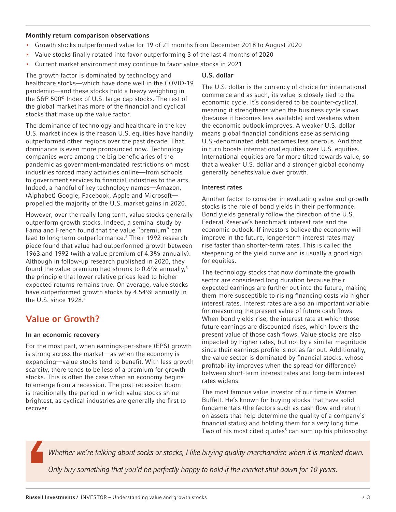#### Monthly return comparison observations

- Growth stocks outperformed value for 19 of 21 months from December 2018 to August 2020
- Value stocks finally rotated into favor outperforming 3 of the last 4 months of 2020
- Current market environment may continue to favor value stocks in 2021

The growth factor is dominated by technology and healthcare stocks—which have done well in the COVID-19 pandemic—and these stocks hold a heavy weighting in the S&P 500® Index of U.S. large-cap stocks. The rest of the global market has more of the financial and cyclical stocks that make up the value factor.

The dominance of technology and healthcare in the key U.S. market index is the reason U.S. equities have handily outperformed other regions over the past decade. That dominance is even more pronounced now. Technology companies were among the big beneficiaries of the pandemic as government-mandated restrictions on most industries forced many activities online—from schools to government services to financial industries to the arts. Indeed, a handful of key technology names—Amazon, (Alphabet) Google, Facebook, Apple and Microsoft propelled the majority of the U.S. market gains in 2020.

However, over the really long term, value stocks generally outperform growth stocks. Indeed, a seminal study by Fama and French found that the value "premium" can lead to long-term outperformance.<sup>2</sup> Their 1992 research piece found that value had outperformed growth between 1963 and 1992 (with a value premium of 4.3% annually). Although in follow-up research published in 2020, they found the value premium had shrunk to  $0.6\%$  annually,<sup>3</sup> the principle that lower relative prices lead to higher expected returns remains true. On average, value stocks have outperformed growth stocks by 4.54% annually in the U.S. since 1928.4

## Value or Growth?

#### In an economic recovery

For the most part, when earnings-per-share (EPS) growth is strong across the market—as when the economy is expanding—value stocks tend to benefit. With less growth scarcity, there tends to be less of a premium for growth stocks. This is often the case when an economy begins to emerge from a recession. The post-recession boom is traditionally the period in which value stocks shine brightest, as cyclical industries are generally the first to recover.

### U.S. dollar

The U.S. dollar is the currency of choice for international commerce and as such, its value is closely tied to the economic cycle. It's considered to be counter-cyclical, meaning it strengthens when the business cycle slows (because it becomes less available) and weakens when the economic outlook improves. A weaker U.S. dollar means global financial conditions ease as servicing U.S.-denominated debt becomes less onerous. And that in turn boosts international equities over U.S. equities. International equities are far more tilted towards value, so that a weaker U.S. dollar and a stronger global economy generally benefits value over growth.

### Interest rates

Another factor to consider in evaluating value and growth stocks is the role of bond yields in their performance. Bond yields generally follow the direction of the U.S. Federal Reserve's benchmark interest rate and the economic outlook. If investors believe the economy will improve in the future, longer-term interest rates may rise faster than shorter-term rates. This is called the steepening of the yield curve and is usually a good sign for equities.

The technology stocks that now dominate the growth sector are considered long duration because their expected earnings are further out into the future, making them more susceptible to rising financing costs via higher interest rates. Interest rates are also an important variable for measuring the present value of future cash flows. When bond yields rise, the interest rate at which those future earnings are discounted rises, which lowers the present value of those cash flows. Value stocks are also impacted by higher rates, but not by a similar magnitude since their earnings profile is not as far out. Additionally, the value sector is dominated by financial stocks, whose profitability improves when the spread (or difference) between short-term interest rates and long-term interest rates widens.

The most famous value investor of our time is Warren Buffett. He's known for buying stocks that have solid fundamentals (the factors such as cash flow and return on assets that help determine the quality of a company's financial status) and holding them for a very long time. Two of his most cited quotes<sup>5</sup> can sum up his philosophy:

*Whether we're talking about socks or stocks, I like buying quality merchandise when it is marked down.*

*Only buy something that you'd be perfectly happy to hold if the market shut down for 10 years.*